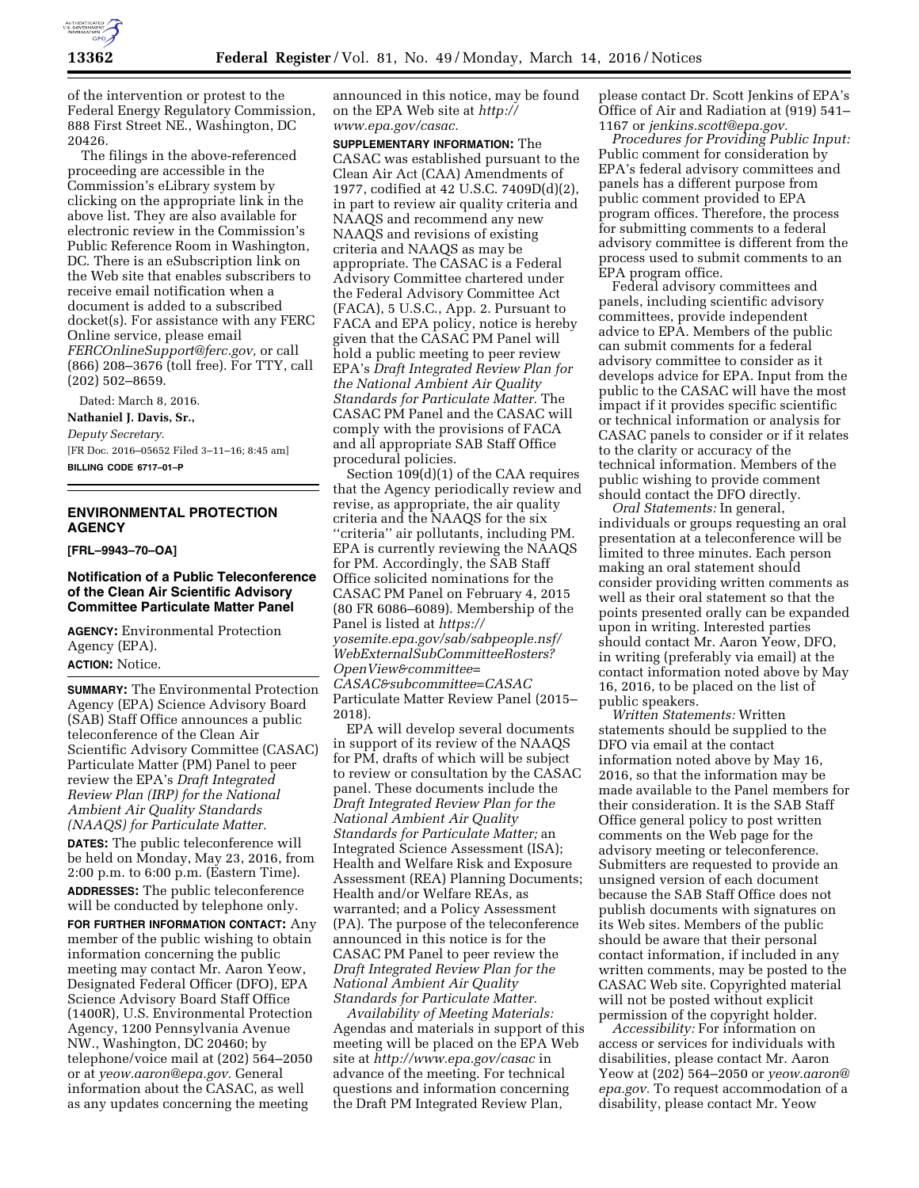

of the intervention or protest to the Federal Energy Regulatory Commission, 888 First Street NE., Washington, DC 20426.

The filings in the above-referenced proceeding are accessible in the Commission's eLibrary system by clicking on the appropriate link in the above list. They are also available for electronic review in the Commission's Public Reference Room in Washington, DC. There is an eSubscription link on the Web site that enables subscribers to receive email notification when a document is added to a subscribed docket(s). For assistance with any FERC Online service, please email *[FERCOnlineSupport@ferc.gov,](mailto:FERCOnlineSupport@ferc.gov)* or call (866) 208–3676 (toll free). For TTY, call (202) 502–8659.

Dated: March 8, 2016.

**Nathaniel J. Davis, Sr.,** 

*Deputy Secretary.* 

[FR Doc. 2016–05652 Filed 3–11–16; 8:45 am] **BILLING CODE 6717–01–P** 

### **ENVIRONMENTAL PROTECTION AGENCY**

**[FRL–9943–70–OA]** 

## **Notification of a Public Teleconference of the Clean Air Scientific Advisory Committee Particulate Matter Panel**

**AGENCY:** Environmental Protection Agency (EPA).

**ACTION:** Notice.

**SUMMARY:** The Environmental Protection Agency (EPA) Science Advisory Board (SAB) Staff Office announces a public teleconference of the Clean Air Scientific Advisory Committee (CASAC) Particulate Matter (PM) Panel to peer review the EPA's *Draft Integrated Review Plan (IRP) for the National Ambient Air Quality Standards (NAAQS) for Particulate Matter.* 

**DATES:** The public teleconference will be held on Monday, May 23, 2016, from 2:00 p.m. to 6:00 p.m. (Eastern Time). **ADDRESSES:** The public teleconference will be conducted by telephone only.

**FOR FURTHER INFORMATION CONTACT:** Any member of the public wishing to obtain information concerning the public meeting may contact Mr. Aaron Yeow, Designated Federal Officer (DFO), EPA Science Advisory Board Staff Office (1400R), U.S. Environmental Protection Agency, 1200 Pennsylvania Avenue NW., Washington, DC 20460; by telephone/voice mail at (202) 564–2050 or at *[yeow.aaron@epa.gov.](mailto:yeow.aaron@epa.gov)* General information about the CASAC, as well as any updates concerning the meeting

announced in this notice, may be found on the EPA Web site at *[http://](http://www.epa.gov/casac) [www.epa.gov/casac.](http://www.epa.gov/casac)* 

**SUPPLEMENTARY INFORMATION:** The CASAC was established pursuant to the Clean Air Act (CAA) Amendments of 1977, codified at 42 U.S.C. 7409D(d)(2), in part to review air quality criteria and NAAQS and recommend any new NAAQS and revisions of existing criteria and NAAQS as may be appropriate. The CASAC is a Federal Advisory Committee chartered under the Federal Advisory Committee Act (FACA), 5 U.S.C., App. 2. Pursuant to FACA and EPA policy, notice is hereby given that the CASAC PM Panel will hold a public meeting to peer review EPA's *Draft Integrated Review Plan for the National Ambient Air Quality Standards for Particulate Matter.* The CASAC PM Panel and the CASAC will comply with the provisions of FACA and all appropriate SAB Staff Office procedural policies.

Section 109(d)(1) of the CAA requires that the Agency periodically review and revise, as appropriate, the air quality criteria and the NAAQS for the six ''criteria'' air pollutants, including PM. EPA is currently reviewing the NAAQS for PM. Accordingly, the SAB Staff Office solicited nominations for the CASAC PM Panel on February 4, 2015 (80 FR 6086–6089). Membership of the Panel is listed at *[https://](https://yosemite.epa.gov/sab/sabpeople.nsf/WebExternalSubCommitteeRosters?OpenView&committee=CASAC&subcommittee=CASAC) [yosemite.epa.gov/sab/sabpeople.nsf/](https://yosemite.epa.gov/sab/sabpeople.nsf/WebExternalSubCommitteeRosters?OpenView&committee=CASAC&subcommittee=CASAC) [WebExternalSubCommitteeRosters?](https://yosemite.epa.gov/sab/sabpeople.nsf/WebExternalSubCommitteeRosters?OpenView&committee=CASAC&subcommittee=CASAC) [OpenView&committee=](https://yosemite.epa.gov/sab/sabpeople.nsf/WebExternalSubCommitteeRosters?OpenView&committee=CASAC&subcommittee=CASAC) [CASAC&subcommittee=CASAC](https://yosemite.epa.gov/sab/sabpeople.nsf/WebExternalSubCommitteeRosters?OpenView&committee=CASAC&subcommittee=CASAC)*  Particulate Matter Review Panel (2015– 2018).

EPA will develop several documents in support of its review of the NAAQS for PM, drafts of which will be subject to review or consultation by the CASAC panel. These documents include the *Draft Integrated Review Plan for the National Ambient Air Quality Standards for Particulate Matter;* an Integrated Science Assessment (ISA); Health and Welfare Risk and Exposure Assessment (REA) Planning Documents; Health and/or Welfare REAs, as warranted; and a Policy Assessment (PA). The purpose of the teleconference announced in this notice is for the CASAC PM Panel to peer review the *Draft Integrated Review Plan for the National Ambient Air Quality Standards for Particulate Matter.* 

*Availability of Meeting Materials:*  Agendas and materials in support of this meeting will be placed on the EPA Web site at *<http://www.epa.gov/casac>*in advance of the meeting. For technical questions and information concerning the Draft PM Integrated Review Plan,

please contact Dr. Scott Jenkins of EPA's Office of Air and Radiation at (919) 541– 1167 or *[jenkins.scott@epa.gov.](mailto:jenkins.scott@epa.gov)* 

*Procedures for Providing Public Input:*  Public comment for consideration by EPA's federal advisory committees and panels has a different purpose from public comment provided to EPA program offices. Therefore, the process for submitting comments to a federal advisory committee is different from the process used to submit comments to an EPA program office.

Federal advisory committees and panels, including scientific advisory committees, provide independent advice to EPA. Members of the public can submit comments for a federal advisory committee to consider as it develops advice for EPA. Input from the public to the CASAC will have the most impact if it provides specific scientific or technical information or analysis for CASAC panels to consider or if it relates to the clarity or accuracy of the technical information. Members of the public wishing to provide comment should contact the DFO directly.

*Oral Statements:* In general, individuals or groups requesting an oral presentation at a teleconference will be limited to three minutes. Each person making an oral statement should consider providing written comments as well as their oral statement so that the points presented orally can be expanded upon in writing. Interested parties should contact Mr. Aaron Yeow, DFO, in writing (preferably via email) at the contact information noted above by May 16, 2016, to be placed on the list of public speakers.

*Written Statements:* Written statements should be supplied to the DFO via email at the contact information noted above by May 16, 2016, so that the information may be made available to the Panel members for their consideration. It is the SAB Staff Office general policy to post written comments on the Web page for the advisory meeting or teleconference. Submitters are requested to provide an unsigned version of each document because the SAB Staff Office does not publish documents with signatures on its Web sites. Members of the public should be aware that their personal contact information, if included in any written comments, may be posted to the CASAC Web site. Copyrighted material will not be posted without explicit permission of the copyright holder.

*Accessibility:* For information on access or services for individuals with disabilities, please contact Mr. Aaron Yeow at (202) 564–2050 or *[yeow.aaron@](mailto:yeow.aaron@epa.gov) [epa.gov.](mailto:yeow.aaron@epa.gov)* To request accommodation of a disability, please contact Mr. Yeow